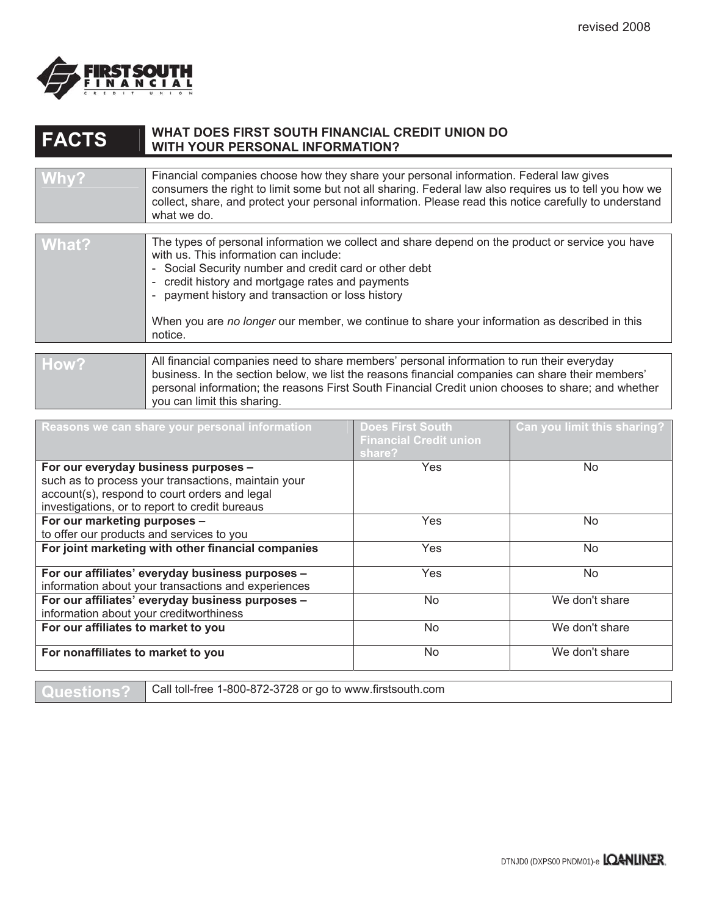

## **FACTS WHAT DOES FIRST SOUTH FINANCIAL CREDIT UNION DO WITH YOUR PERSONAL INFORMATION?**

| Why?  | Financial companies choose how they share your personal information. Federal law gives<br>consumers the right to limit some but not all sharing. Federal law also requires us to tell you how we<br>collect, share, and protect your personal information. Please read this notice carefully to understand<br>what we do.                                                                                                 |
|-------|---------------------------------------------------------------------------------------------------------------------------------------------------------------------------------------------------------------------------------------------------------------------------------------------------------------------------------------------------------------------------------------------------------------------------|
|       |                                                                                                                                                                                                                                                                                                                                                                                                                           |
| What? | The types of personal information we collect and share depend on the product or service you have<br>with us. This information can include:<br>- Social Security number and credit card or other debt<br>- credit history and mortgage rates and payments<br>- payment history and transaction or loss history<br>When you are no longer our member, we continue to share your information as described in this<br>notice. |
|       |                                                                                                                                                                                                                                                                                                                                                                                                                           |
| How?  | All financial companies need to share members' personal information to run their everyday<br>business. In the section below, we list the reasons financial companies can share their members'<br>personal information; the reasons First South Financial Credit union chooses to share; and whether<br>you can limit this sharing.                                                                                        |

| Reasons we can share your personal information                                                                                                                                                 | <b>Does First South</b><br><b>Financial Credit union</b><br>share? | Can you limit this sharing? |
|------------------------------------------------------------------------------------------------------------------------------------------------------------------------------------------------|--------------------------------------------------------------------|-----------------------------|
| For our everyday business purposes -<br>such as to process your transactions, maintain your<br>account(s), respond to court orders and legal<br>investigations, or to report to credit bureaus | Yes                                                                | No.                         |
| For our marketing purposes -<br>to offer our products and services to you                                                                                                                      | Yes                                                                | No.                         |
| For joint marketing with other financial companies                                                                                                                                             | Yes                                                                | No.                         |
| For our affiliates' everyday business purposes -<br>information about your transactions and experiences                                                                                        | Yes                                                                | No.                         |
| For our affiliates' everyday business purposes -<br>information about your creditworthiness                                                                                                    | No.                                                                | We don't share              |
| For our affiliates to market to you                                                                                                                                                            | <b>No</b>                                                          | We don't share              |
| For nonaffiliates to market to you                                                                                                                                                             | No                                                                 | We don't share              |

**Questions?** Call toll-free 1-800-872-3728 or go to www.firstsouth.com